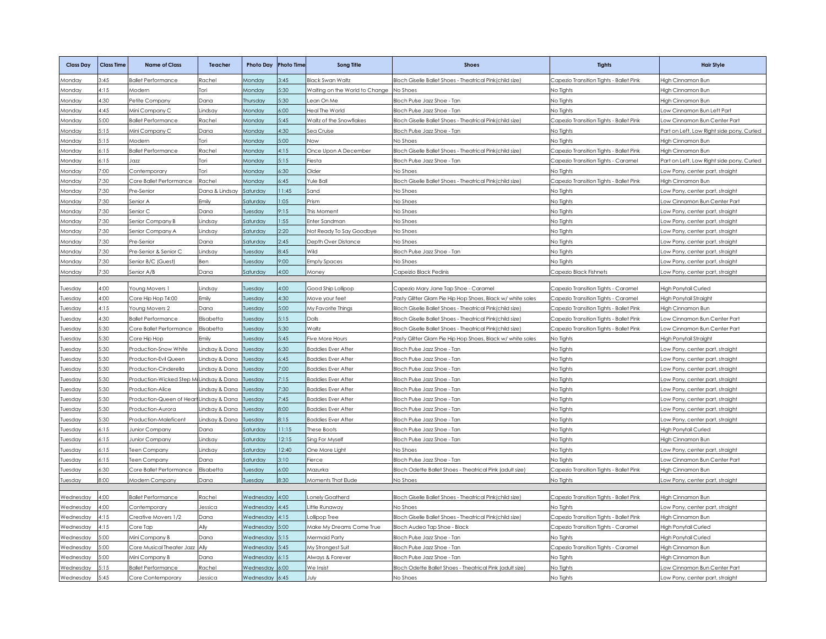| <b>Class Day</b> | <b>Class Time</b> | <b>Name of Class</b>                    | <b>Teacher</b>   | <b>Photo Day</b> | <b>Photo Time</b> | <b>Song Title</b>               | <b>Shoes</b>                                               | <b>Tights</b>                           | <b>Hair Style</b>                         |
|------------------|-------------------|-----------------------------------------|------------------|------------------|-------------------|---------------------------------|------------------------------------------------------------|-----------------------------------------|-------------------------------------------|
| <b>Aonday</b>    | .45               | <b>Ballet Performance</b>               | Rachel           | Monday           | 3.45              | <b>Black Swan Waltz</b>         | Bloch Giselle Ballet Shoes - Theatrical Pink(child size)   | Capezio Transition Tights - Ballet Pink | ligh Cinnamon Bun                         |
| <b>Monday</b>    | 4:15              | Modern                                  | ori              | Monday           | 5:30              | Naiting on the World to Change  | No Shoes                                                   | No Tights                               | ligh Cinnamon Bun                         |
| Monday           | 4:30              | Petite Company                          | Dana             | Thursday         | 5:30              | ean On Me                       | Bloch Pulse Jazz Shoe - Tan                                | No Tights                               | High Cinnamon Bun                         |
| Monday           | 4:45              | Mini Company C                          | .indsay          | Monday           | 6:00              | leal The World                  | Bloch Pulse Jazz Shoe - Tan                                | No Tights                               | ow Cinnamon Bun Left Part.                |
| Monday           | 5:00              | <b>Ballet Performance</b>               | Rachel           | Monday           | 5:45              | Naltz of the Snowflakes         | Bloch Giselle Ballet Shoes - Theatrical Pink (child size)  | Capezio Transition Tights - Ballet Pink | ow Cinnamon Bun Center Part               |
| <b>Aonday</b>    | 5:15              | Mini Company C                          | Dana             | Mondav           | 4:30              | Sea Cruise                      | Bloch Pulse Jazz Shoe - Tan                                | No Tights                               | Part on Left, Low Right side pony, Curled |
| Monday           | 5:15              | Modern                                  | Tori             | Monday           | 5:00              | <b>NON</b>                      | No Shoes                                                   | No Tights                               | High Cinnamon Bun                         |
| Monday           | 6:15              | <b>Ballet Performance</b>               | Rachel           | Monday           | 4:15              | Once Upon A December            | Bloch Giselle Ballet Shoes - Theatrical Pink(child size)   | Capezio Transition Tights - Ballet Pink | High Cinnamon Bun                         |
| Monday           | 5:15              | 1077                                    | ori <sup>-</sup> | Monday           | 5:15              | iesta                           | Bloch Pulse Jazz Shoe - Tan                                | Capezio Transition Tights - Caramel     | Part on Left, Low Right side pony, Curled |
| Monday           | 00:7              | Contemporary                            | Tori             | Monday           | 5:30              | Older                           | No Shoes                                                   | No Tights                               | ow Pony, center part, straight            |
| Monday           | 7:30              | Core Ballet Performance                 | Rachel           | Monday           | 5:45              | rule Ball                       | Bloch Giselle Ballet Shoes - Theatrical Pink(child size)   | Capezio Transition Tights - Ballet Pink | High Cinnamon Bun                         |
| Monday           | 7:30              | Pre-Senior                              | Jana & Lindsay   | Saturday         | 11:45             | Sand                            | No Shoes                                                   | No Tights                               | ow Pony, center part, straight            |
| <b>Mondav</b>    | 7:30              | Senior A                                | Emily            | Saturdav         | 1:05              | Prism                           | No Shoes                                                   | No Tiahts                               | ow Cinnamon Bun Center Part               |
| Monday           | 7:30              | Senior C                                | Dana             | <b>Tuesday</b>   | 9:15              | This Moment                     | No Shoes                                                   | No Tights                               | ow Pony, center part, straight            |
| Monday           | 2:30              | Senior Company B                        | .indsay          | Saturday         | :55               | inter Sandman                   | No Shoes                                                   | No Tights                               | ow Pony, center part, straight.           |
| Monday           | :30               | Senior Company A                        | .indsay          | Saturday         | 2:20              | <b>Vot Ready To Say Goodbye</b> | No Shoes                                                   | No Tights                               | ow Pony, center part, straight            |
| <b>Aonday</b>    | 7:30              | Pre-Senior                              | Dana             | Saturday         | 2:45              | <b>Depth Over Distance</b>      | <b>No Shoes</b>                                            | No Tights                               | ow Pony, center part, straight            |
| <b>Aonday</b>    | 7:30              | Pre-Senior & Senior C                   | indsay.          | Tuesday          | 8:45              | Wild                            | Bloch Pulse Jazz Shoe - Tan                                | No Tights                               | ow Pony, center part, straight            |
| Monday           | 7:30              | Senior B/C (Guest)                      | Ben              | Tuesday          | 9:00              | <b>Empty Spaces</b>             | No Shoes                                                   | No Tights                               | ow Pony, center part, straight            |
| Monday           | 7:30              | Senior A/B                              | Dana             | Saturday         | 4:00              | Money                           | Capeizio Black Pedinis                                     | Capezio Black Fishnets                  | Low Pony, center part, straight           |
|                  |                   |                                         |                  |                  |                   |                                 |                                                            |                                         |                                           |
| uesdav           | 4:00              | Young Movers 1                          | Lindsay          | Tuesday          | 4:00              | Good Ship Lollipop              | Capezio Mary Jane Tap Shoe - Caramel                       | Capezio Transition Tights - Caramel     | High Ponytail Curled                      |
| uesday           | 4:00              | Core Hip Hop T4:00                      | -milv            | Tuesday          | 4:30              | Move your feet                  | Pasty Glitter Glam Pie Hip Hop Shoes, Black w/ white soles | Capezio Transition Tights - Caramel     | High Ponytail Straight                    |
| uesday           | 4:15              | Young Movers 2                          | Dana             | Tuesday          | 5:00              | <b>My Favorite Things</b>       | Bloch Giselle Ballet Shoes - Theatrical Pink(child size)   | Capezio Transition Tights - Ballet Pink | High Cinnamon Bun                         |
| Jesday           | 4:30              | <b>Ballet Performance</b>               | Elisabetta       | Tuesdav          | 5:15              | alls                            | Bloch Giselle Ballet Shoes - Theatrical Pink (child size)  | Capezio Transition Tights - Ballet Pink | ow Cinnamon Bun Center Part               |
| Jesday           | 5:30              | Core Ballet Performance                 | Elisabetta       | <b>Tuesday</b>   | 5:30              | Naltz                           | Bloch Giselle Ballet Shoes - Theatrical Pink(child size)   | Capezio Transition Tights - Ballet Pink | ow Cinnamon Bun Center Part               |
| uesday           | 5:30              | Core Hip Hop                            | Emilv            | Tuesdav          | 5:45              | Five More Hours                 | Pasty Glitter Glam Pie Hip Hop Shoes, Black w/ white soles | No Tights                               | High Ponytail Straight                    |
| Jesday           | 5:30              | Production-Snow White                   | indsay & Dana    | Tuesday          | 6:30              | <b>Baddies Ever After</b>       | Bloch Pulse Jazz Shoe - Tan                                | No Tights                               | Low Pony, center part, straight           |
| Jesday           | 5:30              | Production-Evil Queen                   | indsay & Dana    | Tuesday          | 5:45              | addies Ever After               | Bloch Pulse Jazz Shoe - Tan                                | No Tights                               | ow Pony, center part, straight            |
| uesday           | 5:30              | Production-Cinderella                   | indsay & Dana    | Tuesdav          | 7:00              | Baddies Ever After              | Bloch Pulse Jazz Shoe - Tan                                | No Tights                               | ow Pony, center part, straight.           |
| uesday           | :30               | Production-Wicked Step McLindsay & Dana |                  | Tuesday          | 7:15              | addies Ever After               | Bloch Pulse Jazz Shoe - Tan                                | No Tights                               | ow Pony, center part, straight            |
| Jesday           | 5:30              | Production-Alice                        | indsay & Dana    | Tuesdav          | 7:30              | addies Ever After               | Bloch Pulse Jazz Shoe - Tan                                | No Tights                               | ow Pony, center part, straight            |
| Jesday           | 5:30              | roduction-Queen of Heart                | Lindsay & Dana   | <b>Tuesday</b>   | 7:45              | saddies Ever After              | Bloch Pulse Jazz Shoe - Tan                                | No Tights                               | ow Pony, center part, straight            |
| uesday           | 5:30              | Production-Aurora                       | indsay & Dana    | Tuesday          | 00:8              | saddies Ever After              | Bloch Pulse Jazz Shoe - Tan                                | No Tights                               | ow Pony, center part, straight            |
| Jesday           | 5:30              | Production-Maleficent                   | Lindsay & Dana   | Tuesday          | 8:15              | <b>Baddies Ever After</b>       | Bloch Pulse Jazz Shoe - Tan                                | No Tights                               | ow Pony, center part, straight            |
| uesday           | 5:15              | lunior Company                          | Dana             | Saturday         | 11:15             | These Boots                     | Bloch Pulse Jazz Shoe - Tan                                | No Tights                               | High Ponytail Curled                      |
| uesday           | 6:15              | Junior Company                          | .indsay          | Saturday         | 12:15             | Sing For Myself                 | Bloch Pulse Jazz Shoe - Tan                                | No Tights                               | High Cinnamon Bun                         |
| uesday           | 5:15              | een Company                             | .indsay          | Saturday         | 12:40             | One More Light                  | No Shoes                                                   | No Tights                               | ow Pony, center part, straight            |
| Jesday           | 5:15              | een Company                             | Dana             | Saturday         | $3:10^{-}$        | ierce                           | Bloch Pulse Jazz Shoe - Tan                                | No Tights                               | ow Cinnamon Bun Center Part               |
| Jesday           | 30                | Core Ballet Performance                 | Elisabetta       | <b>Tuesday</b>   | 5:00              | Aazurka                         | Bloch Odette Ballet Shoes - Theatrical Pink (adult size)   | Capezio Transition Tights - Ballet Pink | High Cinnamon Bun                         |
| uesday           | 8:00              | Modern Company                          | Dana             | Tuesday          | 8:30              | <b>Moments That Elude</b>       | No Shoes                                                   | No Tights                               | Low Pony, center part, straight           |
|                  |                   |                                         |                  |                  |                   |                                 |                                                            |                                         |                                           |
| Wednesday        | 4:00              | <b>Ballet Performance</b>               | Rachel           | Wednesday        | 4:00              | onely Goatherd                  | Bloch Giselle Ballet Shoes - Theatrical Pink(child size)   | Capezio Transition Tights - Ballet Pink | High Cinnamon Bun                         |
| Wednesday        | 4:00              | Contemporary                            | lessica          | Wednesday        | 4:45              | ittle Runaway                   | No Shoes                                                   | No Tights                               | ow Pony, center part, straight            |
| Wednesday        | 4:15              | Creative Movers 1/2                     | Dana             | Vednesday        | 4:15              | ollipop Tree                    | Bloch Giselle Ballet Shoes - Theatrical Pink(child size)   | Capezio Transition Tights - Ballet Pink | High Cinnamon Bun                         |
| Wednesday        | 4:15              | Core Tap                                | ۹lly             | Vednesday        | 5:00              | Aake My Dreams Come True        | Bloch Audeo Tap Shoe - Black                               | Capezio Transition Tights - Caramel     | High Ponytail Curled                      |
| Wednesdav        | i <sup>-</sup> nn | Mini Company B                          | Dana             | Vednesdav        | 5:15              | Aermaid Party                   | Bloch Pulse Jazz Shoe - Tan                                | No Tights                               | ligh Ponytail Curled                      |
| Wednesday        | 5:00              | Core Musical Theater Jazz Ally          |                  | <b>Nednesday</b> | 5:45              | Ay Strongest Suit               | Bloch Pulse Jazz Shoe - Tan                                | Capezio Transition Tights - Caramel     | High Cinnamon Bun                         |
| Wednesday        | 5:00              | Mini Company B                          | Dana             | Wednesday        | 6:15              | Always & Forever                | Bloch Pulse Jazz Shoe - Tan                                | No Tights                               | High Cinnamon Bun                         |
| Wednesday        | 5:15              | <b>Ballet Performance</b>               | Rachel           | Wednesday        | 6:00              | We Insist                       | Bloch Odette Ballet Shoes - Theatrical Pink (adult size)   | No Tights                               | ow Cinnamon Bun Center Part               |
| Wednesday        | 5:45              | Core Contemporary                       | Jessica          | Wednesday        | 6:45              | July                            | No Shoes                                                   | No Tights                               | Low Pony, center part, straight           |